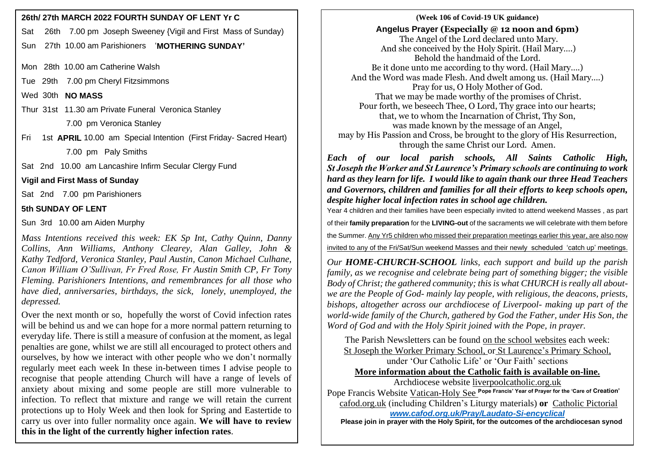Sat 26th 7.00 pm Joseph Sweeney {Vigil and First Mass of Sunday)

Sun 27th 10.00 am Parishioners '**MOTHERING SUNDAY'**

Mon 28th 10.00 am Catherine Walsh

Tue 29th 7.00 pm Cheryl Fitzsimmons

Wed 30th **NO MASS**

Thur 31st 11.30 am Private Funeral Veronica Stanley

7.00 pm Veronica Stanley

Fri 1st **APRIL** 10.00 am Special Intention (First Friday- Sacred Heart)

7.00 pm Paly Smiths

Sat 2nd 10.00 am Lancashire Infirm Secular Clergy Fund

**Vigil and First Mass of Sunday**

Sat 2nd 7.00 pm Parishioners

## **5th SUNDAY OF LENT**

Sun 3rd 10.00 am Aiden Murphy

*Mass Intentions received this week: EK Sp Int, Cathy Quinn, Danny Collins, Ann Williams, Anthony Clearey, Alan Galley, John & Kathy Tedford, Veronica Stanley, Paul Austin, Canon Michael Culhane, Canon William O'Sullivan, Fr Fred Rose, Fr Austin Smith CP, Fr Tony Fleming. Parishioners Intentions, and remembrances for all those who have died, anniversaries, birthdays, the sick, lonely, unemployed, the depressed.*

Over the next month or so, hopefully the worst of Covid infection rates will be behind us and we can hope for a more normal pattern returning to everyday life. There is still a measure of confusion at the moment, as legal penalties are gone, whilst we are still all encouraged to protect others and ourselves, by how we interact with other people who we don't normally regularly meet each week In these in-between times I advise people to recognise that people attending Church will have a range of levels of anxiety about mixing and some people are still more vulnerable to infection. To reflect that mixture and range we will retain the current protections up to Holy Week and then look for Spring and Eastertide to carry us over into fuller normality once again. **We will have to review this in the light of the currently higher infection rates**.

## **26th/ 27th MARCH 2022 FOURTH SUNDAY OF LENT Yr C**  $\qquad$  **|**  $\qquad$  **|**  $\qquad$  **(Week 106 of Covid-19 UK guidance) Angelus Prayer (Especially @ 12 noon and 6pm)** The Angel of the Lord declared unto Mary. And she conceived by the Holy Spirit. (Hail Mary….) Behold the handmaid of the Lord. Be it done unto me according to thy word. (Hail Mary….) And the Word was made Flesh. And dwelt among us. (Hail Mary….) Pray for us, O Holy Mother of God. That we may be made worthy of the promises of Christ. Pour forth, we beseech Thee, O Lord, Thy grace into our hearts; that, we to whom the Incarnation of Christ, Thy Son, was made known by the message of an Angel, may by His Passion and Cross, be brought to the glory of His Resurrection, through the same Christ our Lord. Amen.

*Each of our local parish schools, All Saints Catholic High, St Joseph the Worker and St Laurence's Primary schools are continuing to work hard as they learn for life. I would like to again thank our three Head Teachers and Governors, children and families for all their efforts to keep schools open, despite higher local infection rates in school age children.*

Year 4 children and their families have been especially invited to attend weekend Masses , as part of their **family preparation** for the **LIVING-out** of the sacraments we will celebrate with them before the Summer. Any Yr5 children who missed their preparation meetings earlier this year, are also now

invited to any of the Fri/Sat/Sun weekend Masses and their newly scheduled 'catch up' meetings.

*Our HOME-CHURCH-SCHOOL links, each support and build up the parish family, as we recognise and celebrate being part of something bigger; the visible Body of Christ; the gathered community; this is what CHURCH is really all aboutwe are the People of God- mainly lay people, with religious, the deacons, priests, bishops, altogether across our archdiocese of Liverpool- making up part of the world-wide family of the Church, gathered by God the Father, under His Son, the Word of God and with the Holy Spirit joined with the Pope, in prayer.*

The Parish Newsletters can be found on the school websites each week: St Joseph the Worker Primary School, or St Laurence's Primary School,

under 'Our Catholic Life' or 'Our Faith' sections **More information about the Catholic faith is available on-line.** Archdiocese website [liverpoolcatholic.org.uk](http://liverpoolcatholic.org.uk/)

Pope Francis Website Vatican-Holy See **Pope Francis' Year of Prayer for the 'Care of Creation'** cafod.org.uk (including Children's Liturgy materials) **or** Catholic Pictorial *[www.cafod.org.uk/Pray/Laudato-Si-encyclical](http://www.cafod.org.uk/Pray/Laudato-Si-encyclical)*

 **Please join in prayer with the Holy Spirit, for the outcomes of the archdiocesan synod**